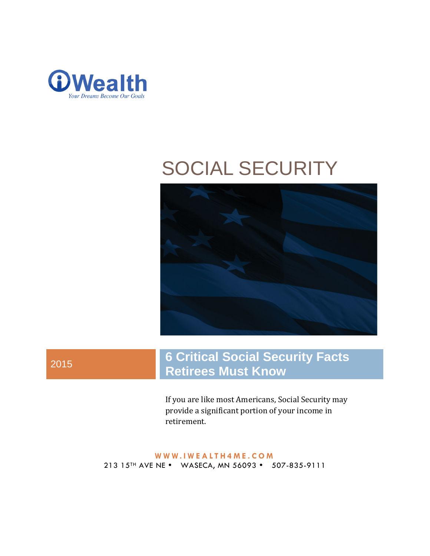

# SOCIAL SECURITY



# <sup>2015</sup> **6 Critical Social Security Facts Retirees Must Know**

If you are like most Americans, Social Security may provide a significant portion of your income in retirement.

**WWW. IWEALTH4ME .COM** 213 15<sup>TH</sup> AVE NE • WASECA, MN 56093 • 507-835-9111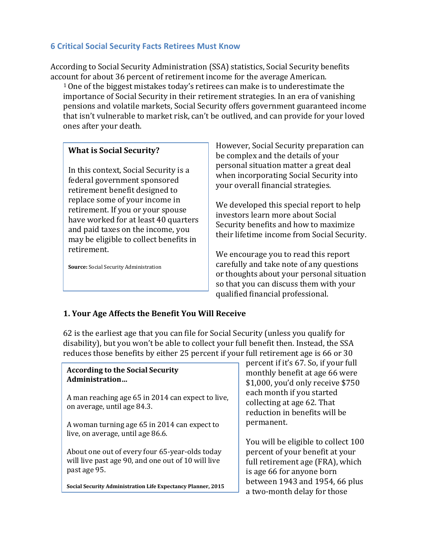#### **6 Critical Social Security Facts Retirees Must Know**

According to Social Security Administration (SSA) statistics, Social Security benefits acc[ou](#page-8-0)nt for about 36 percent of retirement income for the average American.

1One of the biggest mistakes today's retirees can make is to underestimate the importance of Social Security in their retirement strategies. In an era of vanishing pensions and volatile markets, Social Security offers government guaranteed income that isn't vulnerable to market risk, can't be outlived, and can provide for your loved ones after your death.

#### **What is Social Security?**

In this context, Social Security is a federal government sponsored retirement benefit designed to replace some of your income in retirement. If you or your spouse have worked for at least 40 quarters and paid taxes on the income, you may be eligible to collect benefits in retirement.

**Source:** Social Security Administration

However, Social Security preparation can be complex and the details of your personal situation matter a great deal when incorporating Social Security into your overall financial strategies.

We developed this special report to help investors learn more about Social Security benefits and how to maximize their lifetime income from Social Security.

We encourage you to read this report carefully and take note of any questions or thoughts about your personal situation so that you can discuss them with your qualified financial professional.

#### **1. Your Age Affects the Benefit You Will Receive**

62 is the earliest age that you can file for Social Security (unless you qualify for disability), but you won't be able to collect your full benefit then. Instead, the SSA reduces those benefits by either 25 percent if your full retirement age is 66 or 30

#### **According to the Social Security Administration…**

A man reaching age 65 in 2014 can expect to live, on average, until age 84.3.

A woman turning age 65 in 2014 can expect to live, on average, until age 86.6.

About one out of every four 65-year-olds today will live past age 90, and one out of 10 will live past age 95.

**Social Security Administration Life Expectancy Planner, 2015**

percent if it's 67. So, if your full monthly benefit at age 66 were \$1,000, you'd only receive \$750 each month if you started collecting at age 62. That reduction in benefits will be permanent.

You will be eligible to collect 100 percent of your benefit at your full retirement age (FRA), which is age 66 for anyone born between 1943 and 1954, 66 plus a two-month delay for those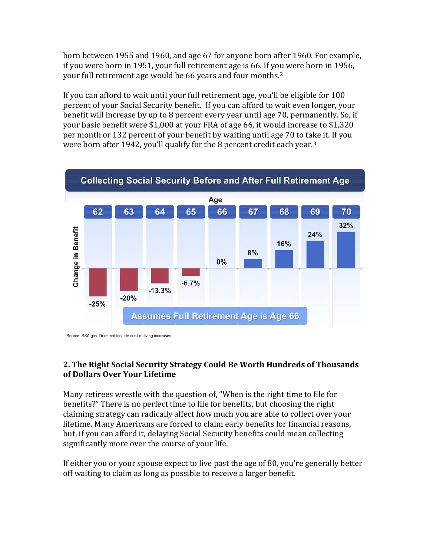born between 1955 and 1960, and age 67 for anyone born after 1960. For example, if you were born in 1951, your full retirement age is 66. If you were born in 1956, your full retirement age would be 66 years and four months.[2](#page-9-0)

If you can afford to wait until your full retirement age, you'll be eligible for 100 percent of your Social Security benefit. If you can afford to wait even longer, your benefit will increase by up to 8 percent every year until age 70, permanently. So, if your basic benefit were \$1,000 at your FRA of age 66, it would increase to \$1,320 per month or 132 percent of your benefit by waiting until age 70 to take it. If you were born after 1942, you'll qualify for the 8 percent credit each year.[3](#page-9-1)



Source: SSA.gov. Does not include cost-of-living increases

#### **2. The Right Social Security Strategy Could Be Worth Hundreds of Thousands of Dollars Over Your Lifetime**

Many retirees wrestle with the question of, "When is the right time to file for benefits?" There is no perfect time to file for benefits, but choosing the right claiming strategy can radically affect how much you are able to collect over your lifetime. Many Americans are forced to claim early benefits for financial reasons, but, if you can afford it, delaying Social Security benefits could mean collecting significantly more over the course of your life.

If either you or your spouse expect to live past the age of 80, you're generally better off waiting to claim as long as possible to receive a larger benefit.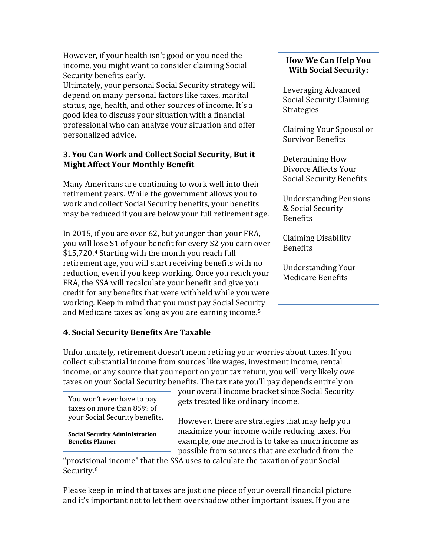However, if your health isn't good or you need the income, you might want to consider claiming Social Security benefits early.

Ultimately, your personal Social Security strategy will depend on many personal factors like taxes, marital status, age, health, and other sources of income. It's a good idea to discuss your situation with a financial professional who can analyze your situation and offer personalized advice.

#### **3. You Can Work and Collect Social Security, But it Might Affect Your Monthly Benefit**

Many Americans are continuing to work well into their retirement years. While the government allows you to work and collect Social Security benefits, your benefits may be reduced if you are below your full retirement age.

In 2015, if you are over 62, but younger than your FRA, you will lose \$1 of your benefit for every \$2 you earn over \$15,720.[4](#page-9-2) Starting with the month you reach full retirement age, you will start receiving benefits with no reduction, even if you keep working. Once you reach your FRA, the SSA will recalculate your benefit and give you credit for any benefits that were withheld while you were working. Keep in mind that you must pay Social Security and Medicare taxes as long as you are earning income.[5](#page-9-3)

#### **How We Can Help You With Social Security:**

Leveraging Advanced Social Security Claiming Strategies

Claiming Your Spousal or Survivor Benefits

Determining How Divorce Affects Your Social Security Benefits

Understanding Pensions & Social Security Benefits

Claiming Disability Benefits

Understanding Your Medicare Benefits

## **4. Social Security Benefits Are Taxable**

Unfortunately, retirement doesn't mean retiring your worries about taxes. If you collect substantial income from sources like wages, investment income, rental income, or any source that you report on your tax return, you will very likely owe taxes on your Social Security benefits. The tax rate you'll pay depends entirely on

You won't ever have to pay taxes on more than 85% of your Social Security benefits.

**Social Security Administration Benefits Planner**

your overall income bracket since Social Security gets treated like ordinary income.

However, there are strategies that may help you maximize your income while reducing taxes. For example, one method is to take as much income as possible from sources that are excluded from the

"provisi[on](#page-9-4)al income" that the SSA uses to calculate the taxation of your Social Security.<sup>6</sup>

Please keep in mind that taxes are just one piece of your overall financial picture and it's important not to let them overshadow other important issues. If you are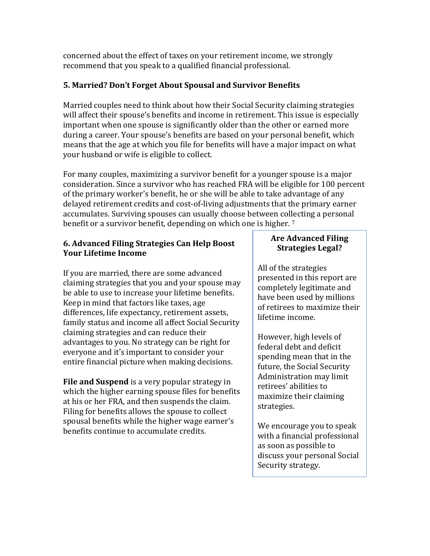concerned about the effect of taxes on your retirement income, we strongly recommend that you speak to a qualified financial professional.

#### **5. Married? Don't Forget About Spousal and Survivor Benefits**

Married couples need to think about how their Social Security claiming strategies will affect their spouse's benefits and income in retirement. This issue is especially important when one spouse is significantly older than the other or earned more during a career. Your spouse's benefits are based on your personal benefit, which means that the age at which you file for benefits will have a major impact on what your husband or wife is eligible to collect.

For many couples, maximizing a survivor benefit for a younger spouse is a major consideration. Since a survivor who has reached FRA will be eligible for 100 percent of the primary worker's benefit, he or she will be able to take advantage of any delayed retirement credits and cost-of-living adjustments that the primary earner accumulates. Surviving spouses can usually choose between col[le](#page-10-0)cting a personal benefit or a survivor benefit, depending on which one is higher. <sup>7</sup>

#### **6. Advanced Filing Strategies Can Help Boost Your Lifetime Income**

If you are married, there are some advanced claiming strategies that you and your spouse may be able to use to increase your lifetime benefits. Keep in mind that factors like taxes, age differences, life expectancy, retirement assets, family status and income all affect Social Security claiming strategies and can reduce their advantages to you. No strategy can be right for everyone and it's important to consider your entire financial picture when making decisions.

**File and Suspend** is a very popular strategy in which the higher earning spouse files for benefits at his or her FRA, and then suspends the claim. Filing for benefits allows the spouse to collect spousal benefits while the higher wage earner's benefits continue to accumulate credits.

#### **Are Advanced Filing Strategies Legal?**

All of the strategies presented in this report are completely legitimate and have been used by millions of retirees to maximize their lifetime income.

However, high levels of federal debt and deficit spending mean that in the future, the Social Security Administration may limit retirees' abilities to maximize their claiming strategies.

We encourage you to speak with a financial professional as soon as possible to discuss your personal Social Security strategy.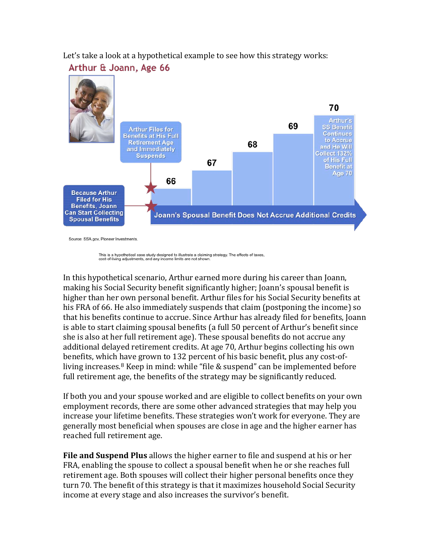Let's take a look at a hypothetical example to see how this strategy works:<br>**Arthur & Joann, Age 66** 



Source: SSA.gov, Pioneer Investments

This is a hypothetical case study designed to illustrate a claiming strategy. The effects of taxes, ig adjustments, and any income limits are not show

In this hypothetical scenario, Arthur earned more during his career than Joann, making his Social Security benefit significantly higher; Joann's spousal benefit is higher than her own personal benefit. Arthur files for his Social Security benefits at his FRA of 66. He also immediately suspends that claim (postponing the income) so that his benefits continue to accrue. Since Arthur has already filed for benefits, Joann is able to start claiming spousal benefits (a full 50 percent of Arthur's benefit since she is also at her full retirement age). These spousal benefits do not accrue any additional delayed retirement credits. At age 70, Arthur begins collecting his own benefits, which have grown to 132 percent of his basic benefit, plus any cost-of-living increases.<sup>[8](#page-10-1)</sup> Keep in mind: while "file & suspend" can be implemented before full retirement age, the benefits of the strategy may be significantly reduced.

If both you and your spouse worked and are eligible to collect benefits on your own employment records, there are some other advanced strategies that may help you increase your lifetime benefits. These strategies won't work for everyone. They are generally most beneficial when spouses are close in age and the higher earner has reached full retirement age.

**File and Suspend Plus** allows the higher earner to file and suspend at his or her FRA, enabling the spouse to collect a spousal benefit when he or she reaches full retirement age. Both spouses will collect their higher personal benefits once they turn 70. The benefit of this strategy is that it maximizes household Social Security income at every stage and also increases the survivor's benefit.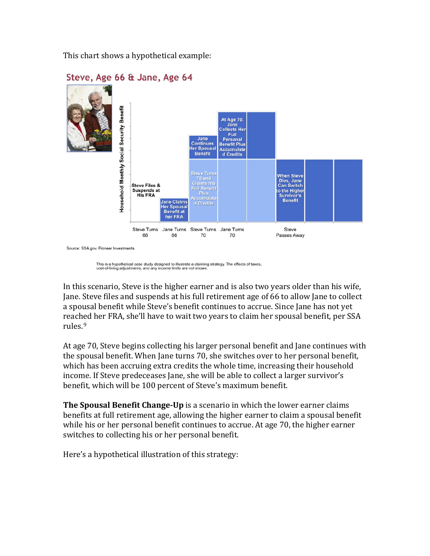This chart shows a hypothetical example:



#### Source: SSA.gov, Pioneer Investments

This is a hypothetical case study designed to illustrate a claiming strategy. The effects of taxes, cost-of-living adjustments, and any income limits are not shown

In this scenario, Steve is the higher earner and is also two years older than his wife, Jane. Steve files and suspends at his full retirement age of 66 to allow Jane to collect a spousal benefit while Steve's benefit continues to accrue. Since Jane has not yet reach[e](#page-10-2)d her FRA, she'll have to wait two years to claim her spousal benefit, per SSA rules. 9

At age 70, Steve begins collecting his larger personal benefit and Jane continues with the spousal benefit. When Jane turns 70, she switches over to her personal benefit, which has been accruing extra credits the whole time, increasing their household income. If Steve predeceases Jane, she will be able to collect a larger survivor's benefit, which will be 100 percent of Steve's maximum benefit.

**The Spousal Benefit Change-Up** is a scenario in which the lower earner claims benefits at full retirement age, allowing the higher earner to claim a spousal benefit while his or her personal benefit continues to accrue. At age 70, the higher earner switches to collecting his or her personal benefit.

Here's a hypothetical illustration of this strategy: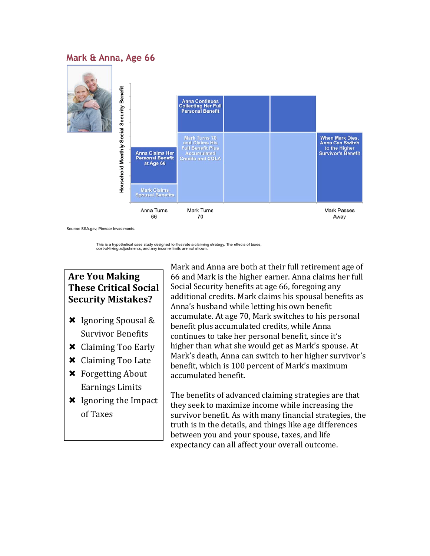### Mark & Anna, Age 66



Source: SSA.gov, Pioneer Investments

This is a hypothetical case study designed to illustrate a claiming strategy. The effects of taxes, cost-of-living adjustments, and any income limits are not shown.

# **Are You Making These Critical Social Security Mistakes?**

- $\times$  Ignoring Spousal & Survivor Benefits
- Claiming Too Early
- Claiming Too Late
- Forgetting About Earnings Limits
- **\*** Ignoring the Impact of Taxes

Mark and Anna are both at their full retirement age of 66 and Mark is the higher earner. Anna claims her full Social Security benefits at age 66, foregoing any additional credits. Mark claims his spousal benefits as Anna's husband while letting his own benefit accumulate. At age 70, Mark switches to his personal benefit plus accumulated credits, while Anna continues to take her personal benefit, since it's higher than what she would get as Mark's spouse. At Mark's death, Anna can switch to her higher survivor's benefit, which is 100 percent of Mark's maximum accumulated benefit.

The benefits of advanced claiming strategies are that they seek to maximize income while increasing the survivor benefit. As with many financial strategies, the truth is in the details, and things like age differences between you and your spouse, taxes, and life expectancy can all affect your overall outcome.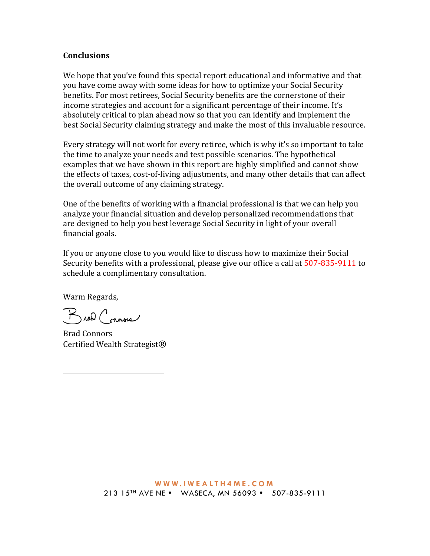#### **Conclusions**

We hope that you've found this special report educational and informative and that you have come away with some ideas for how to optimize your Social Security benefits. For most retirees, Social Security benefits are the cornerstone of their income strategies and account for a significant percentage of their income. It's absolutely critical to plan ahead now so that you can identify and implement the best Social Security claiming strategy and make the most of this invaluable resource.

Every strategy will not work for every retiree, which is why it's so important to take the time to analyze your needs and test possible scenarios. The hypothetical examples that we have shown in this report are highly simplified and cannot show the effects of taxes, cost-of-living adjustments, and many other details that can affect the overall outcome of any claiming strategy.

One of the benefits of working with a financial professional is that we can help you analyze your financial situation and develop personalized recommendations that are designed to help you best leverage Social Security in light of your overall financial goals.

If you or anyone close to you would like to discuss how to maximize their Social Security benefits with a professional, please give our office a call at 507-835-9111 to schedule a complimentary consultation.

Warm Regards,

<span id="page-8-0"></span>i<br>I

Broad Connois

Brad Connors Certified Wealth Strategist®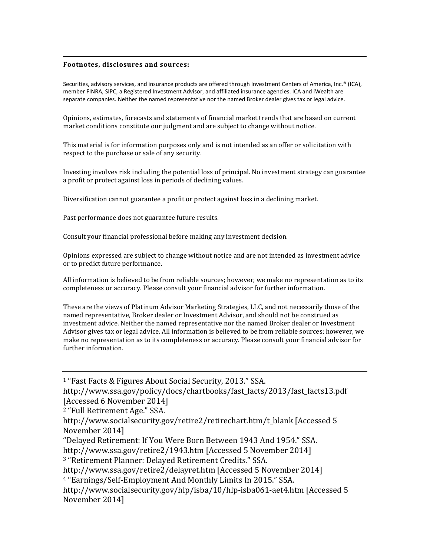#### <span id="page-9-3"></span>i<br>I **Footnotes, disclosures and sources:**

<span id="page-9-4"></span>Securities, advisory services, and insurance products are offered through Investment Centers of America, Inc.® (ICA), member FINRA, SIPC, a Registered Investment Advisor, and affiliated insurance agencies. ICA and iWealth are separate companies. Neither the named representative nor the named Broker dealer gives tax or legal advice.

Opinions, estimates, forecasts and statements of financial market trends that are based on current market conditions constitute our judgment and are subject to change without notice.

This material is for information purposes only and is not intended as an offer or solicitation with respect to the purchase or sale of any security.

Investing involves risk including the potential loss of principal. No investment strategy can guarantee a profit or protect against loss in periods of declining values.

Diversification cannot guarantee a profit or protect against loss in a declining market.

Past performance does not guarantee future results.

Consult your financial professional before making any investment decision.

Opinions expressed are subject to change without notice and are not intended as investment advice or to predict future performance.

All information is believed to be from reliable sources; however, we make no representation as to its completeness or accuracy. Please consult your financial advisor for further information.

These are the views of Platinum Advisor Marketing Strategies, LLC, and not necessarily those of the named representative, Broker dealer or Investment Advisor, and should not be construed as investment advice. Neither the named representative nor the named Broker dealer or Investment Advisor gives tax or legal advice. All information is believed to be from reliable sources; however, we make no representation as to its completeness or accuracy. Please consult your financial advisor for further information.

<sup>1</sup> "Fast Facts & Figures About Social Security, 2013." SSA.

http://www.ssa.gov/policy/docs/chartbooks/fast\_facts/2013/fast\_facts13.pdf [Accessed 6 November 2014]

<span id="page-9-0"></span><sup>2</sup> "Full Retirement Age." SSA.

http://www.socialsecurity.gov/retire2/retirechart.htm/t\_blank [Accessed 5 November 2014]

"Delayed Retirement: If You Were Born Between 1943 And 1954." SSA.

<http://www.ssa.gov/retire2/1943.htm> [Accessed 5 November 2014]

<span id="page-9-1"></span><sup>3</sup> "Retirement Planner: Delayed Retirement Credits." SSA.

http://www.ssa.gov/retire2/delayret.htm [Accessed 5 November 2014]

<span id="page-9-2"></span><sup>4</sup> "Earnings/Self-Employment And Monthly Limits In 2015." SSA.

http://www.socialsecurity.gov/hlp/isba/10/hlp-isba061-aet4.htm [Accessed 5 November 2014]